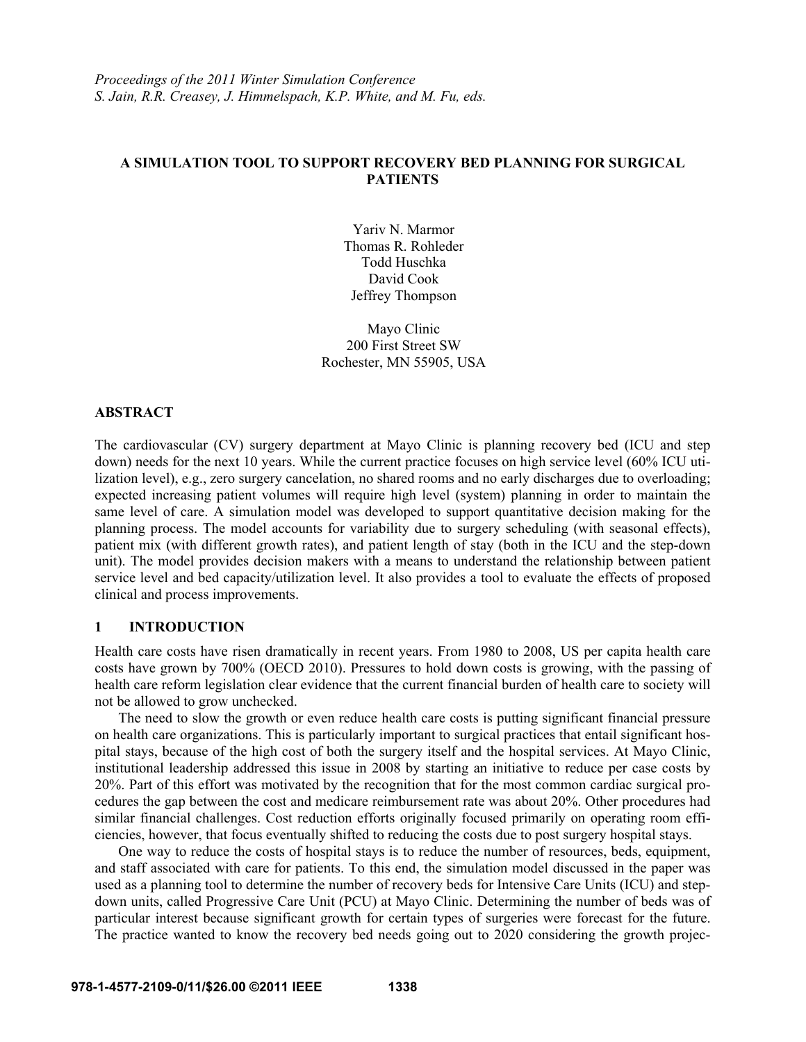# **A SIMULATION TOOL TO SUPPORT RECOVERY BED PLANNING FOR SURGICAL PATIENTS**

Yariv N. Marmor Thomas R. Rohleder Todd Huschka David Cook Jeffrey Thompson

Mayo Clinic 200 First Street SW Rochester, MN 55905, USA

## **ABSTRACT**

The cardiovascular (CV) surgery department at Mayo Clinic is planning recovery bed (ICU and step down) needs for the next 10 years. While the current practice focuses on high service level (60% ICU utilization level), e.g., zero surgery cancelation, no shared rooms and no early discharges due to overloading; expected increasing patient volumes will require high level (system) planning in order to maintain the same level of care. A simulation model was developed to support quantitative decision making for the planning process. The model accounts for variability due to surgery scheduling (with seasonal effects), patient mix (with different growth rates), and patient length of stay (both in the ICU and the step-down unit). The model provides decision makers with a means to understand the relationship between patient service level and bed capacity/utilization level. It also provides a tool to evaluate the effects of proposed clinical and process improvements.

### **1 INTRODUCTION**

Health care costs have risen dramatically in recent years. From 1980 to 2008, US per capita health care costs have grown by 700% (OECD 2010). Pressures to hold down costs is growing, with the passing of health care reform legislation clear evidence that the current financial burden of health care to society will not be allowed to grow unchecked.

The need to slow the growth or even reduce health care costs is putting significant financial pressure on health care organizations. This is particularly important to surgical practices that entail significant hospital stays, because of the high cost of both the surgery itself and the hospital services. At Mayo Clinic, institutional leadership addressed this issue in 2008 by starting an initiative to reduce per case costs by 20%. Part of this effort was motivated by the recognition that for the most common cardiac surgical procedures the gap between the cost and medicare reimbursement rate was about 20%. Other procedures had similar financial challenges. Cost reduction efforts originally focused primarily on operating room efficiencies, however, that focus eventually shifted to reducing the costs due to post surgery hospital stays.

One way to reduce the costs of hospital stays is to reduce the number of resources, beds, equipment, and staff associated with care for patients. To this end, the simulation model discussed in the paper was used as a planning tool to determine the number of recovery beds for Intensive Care Units (ICU) and stepdown units, called Progressive Care Unit (PCU) at Mayo Clinic. Determining the number of beds was of particular interest because significant growth for certain types of surgeries were forecast for the future. The practice wanted to know the recovery bed needs going out to 2020 considering the growth projec-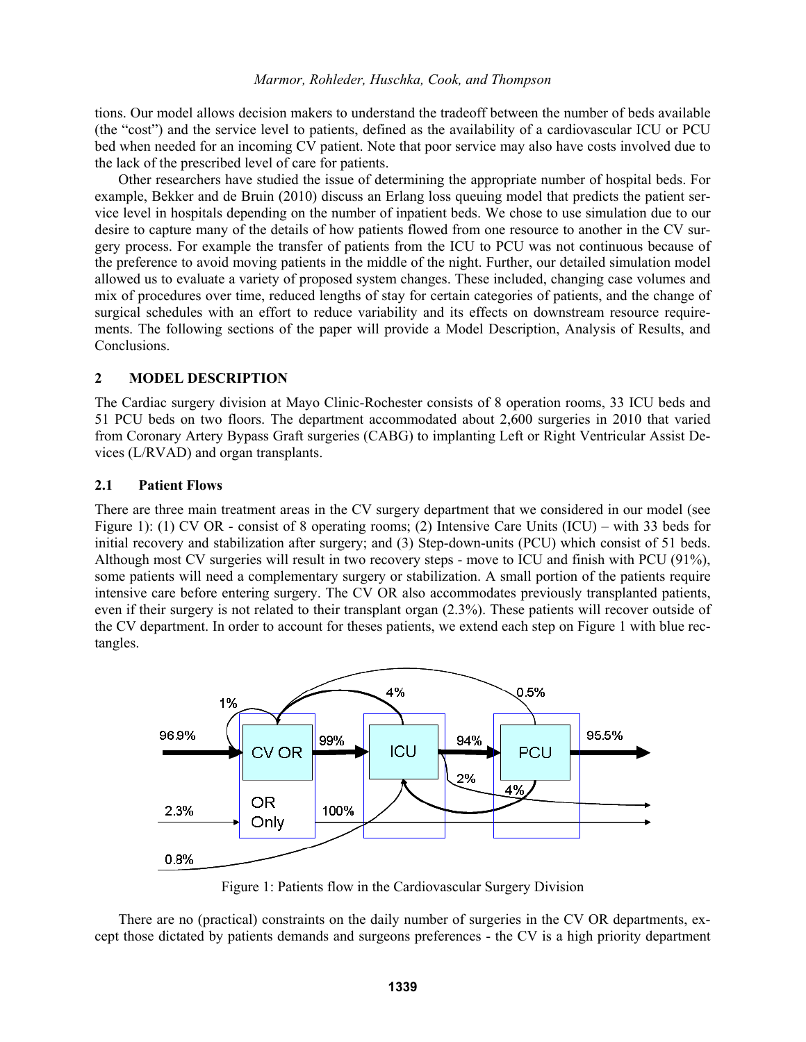### *Marmor, Rohleder, Huschka, Cook, and Thompson*

tions. Our model allows decision makers to understand the tradeoff between the number of beds available (the "cost") and the service level to patients, defined as the availability of a cardiovascular ICU or PCU bed when needed for an incoming CV patient. Note that poor service may also have costs involved due to the lack of the prescribed level of care for patients.

Other researchers have studied the issue of determining the appropriate number of hospital beds. For example, Bekker and de Bruin (2010) discuss an Erlang loss queuing model that predicts the patient service level in hospitals depending on the number of inpatient beds. We chose to use simulation due to our desire to capture many of the details of how patients flowed from one resource to another in the CV surgery process. For example the transfer of patients from the ICU to PCU was not continuous because of the preference to avoid moving patients in the middle of the night. Further, our detailed simulation model allowed us to evaluate a variety of proposed system changes. These included, changing case volumes and mix of procedures over time, reduced lengths of stay for certain categories of patients, and the change of surgical schedules with an effort to reduce variability and its effects on downstream resource requirements. The following sections of the paper will provide a Model Description, Analysis of Results, and Conclusions.

### **2 MODEL DESCRIPTION**

The Cardiac surgery division at Mayo Clinic-Rochester consists of 8 operation rooms, 33 ICU beds and 51 PCU beds on two floors. The department accommodated about 2,600 surgeries in 2010 that varied from Coronary Artery Bypass Graft surgeries (CABG) to implanting Left or Right Ventricular Assist Devices (L/RVAD) and organ transplants.

# **2.1 Patient Flows**

There are three main treatment areas in the CV surgery department that we considered in our model (see Figure 1): (1) CV OR - consist of 8 operating rooms; (2) Intensive Care Units (ICU) – with 33 beds for initial recovery and stabilization after surgery; and (3) Step-down-units (PCU) which consist of 51 beds. Although most CV surgeries will result in two recovery steps - move to ICU and finish with PCU (91%), some patients will need a complementary surgery or stabilization. A small portion of the patients require intensive care before entering surgery. The CV OR also accommodates previously transplanted patients, even if their surgery is not related to their transplant organ (2.3%). These patients will recover outside of the CV department. In order to account for theses patients, we extend each step on Figure 1 with blue rectangles.



Figure 1: Patients flow in the Cardiovascular Surgery Division

 There are no (practical) constraints on the daily number of surgeries in the CV OR departments, except those dictated by patients demands and surgeons preferences - the CV is a high priority department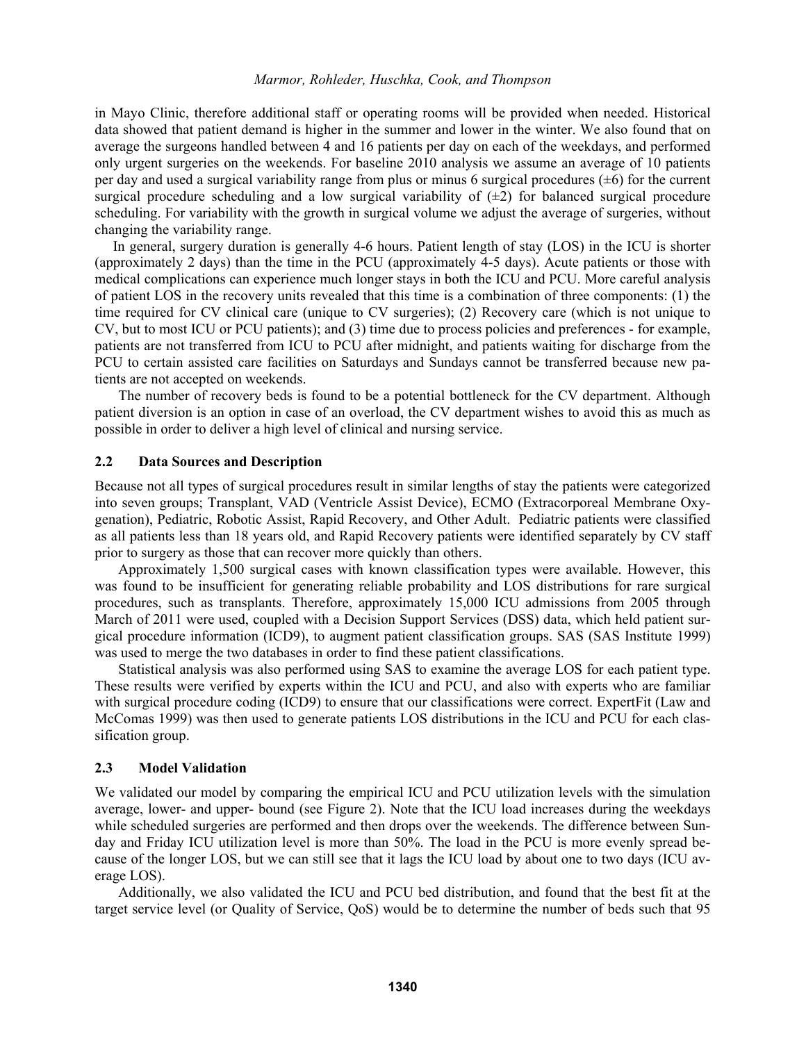### *Marmor, Rohleder, Huschka, Cook, and Thompson*

in Mayo Clinic, therefore additional staff or operating rooms will be provided when needed. Historical data showed that patient demand is higher in the summer and lower in the winter. We also found that on average the surgeons handled between 4 and 16 patients per day on each of the weekdays, and performed only urgent surgeries on the weekends. For baseline 2010 analysis we assume an average of 10 patients per day and used a surgical variability range from plus or minus 6 surgical procedures  $(\pm 6)$  for the current surgical procedure scheduling and a low surgical variability of  $(\pm 2)$  for balanced surgical procedure scheduling. For variability with the growth in surgical volume we adjust the average of surgeries, without changing the variability range.

 In general, surgery duration is generally 4-6 hours. Patient length of stay (LOS) in the ICU is shorter (approximately 2 days) than the time in the PCU (approximately 4-5 days). Acute patients or those with medical complications can experience much longer stays in both the ICU and PCU. More careful analysis of patient LOS in the recovery units revealed that this time is a combination of three components: (1) the time required for CV clinical care (unique to CV surgeries); (2) Recovery care (which is not unique to CV, but to most ICU or PCU patients); and (3) time due to process policies and preferences - for example, patients are not transferred from ICU to PCU after midnight, and patients waiting for discharge from the PCU to certain assisted care facilities on Saturdays and Sundays cannot be transferred because new patients are not accepted on weekends.

The number of recovery beds is found to be a potential bottleneck for the CV department. Although patient diversion is an option in case of an overload, the CV department wishes to avoid this as much as possible in order to deliver a high level of clinical and nursing service.

### **2.2 Data Sources and Description**

Because not all types of surgical procedures result in similar lengths of stay the patients were categorized into seven groups; Transplant, VAD (Ventricle Assist Device), ECMO (Extracorporeal Membrane Oxygenation), Pediatric, Robotic Assist, Rapid Recovery, and Other Adult. Pediatric patients were classified as all patients less than 18 years old, and Rapid Recovery patients were identified separately by CV staff prior to surgery as those that can recover more quickly than others.

 Approximately 1,500 surgical cases with known classification types were available. However, this was found to be insufficient for generating reliable probability and LOS distributions for rare surgical procedures, such as transplants. Therefore, approximately 15,000 ICU admissions from 2005 through March of 2011 were used, coupled with a Decision Support Services (DSS) data, which held patient surgical procedure information (ICD9), to augment patient classification groups. SAS (SAS Institute 1999) was used to merge the two databases in order to find these patient classifications.

 Statistical analysis was also performed using SAS to examine the average LOS for each patient type. These results were verified by experts within the ICU and PCU, and also with experts who are familiar with surgical procedure coding (ICD9) to ensure that our classifications were correct. ExpertFit (Law and McComas 1999) was then used to generate patients LOS distributions in the ICU and PCU for each classification group.

### **2.3 Model Validation**

We validated our model by comparing the empirical ICU and PCU utilization levels with the simulation average, lower- and upper- bound (see Figure 2). Note that the ICU load increases during the weekdays while scheduled surgeries are performed and then drops over the weekends. The difference between Sunday and Friday ICU utilization level is more than 50%. The load in the PCU is more evenly spread because of the longer LOS, but we can still see that it lags the ICU load by about one to two days (ICU average LOS).

Additionally, we also validated the ICU and PCU bed distribution, and found that the best fit at the target service level (or Quality of Service, QoS) would be to determine the number of beds such that 95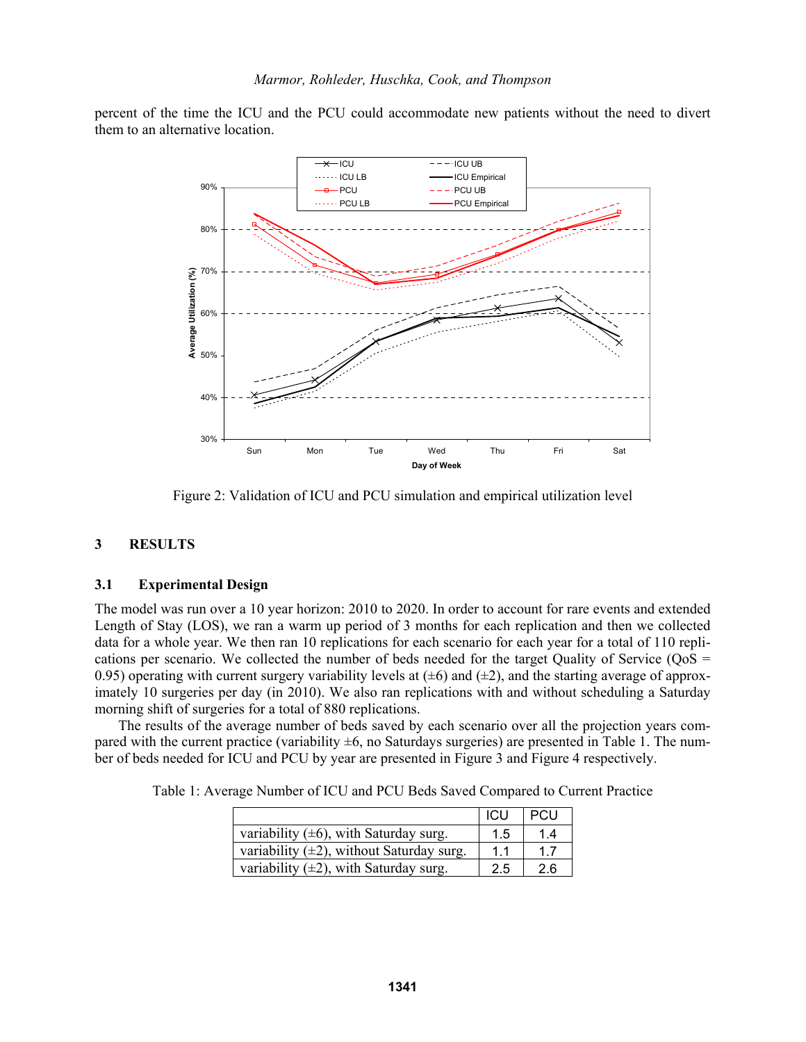percent of the time the ICU and the PCU could accommodate new patients without the need to divert them to an alternative location.



Figure 2: Validation of ICU and PCU simulation and empirical utilization level

### **3 RESULTS**

#### **3.1 Experimental Design**

The model was run over a 10 year horizon: 2010 to 2020. In order to account for rare events and extended Length of Stay (LOS), we ran a warm up period of 3 months for each replication and then we collected data for a whole year. We then ran 10 replications for each scenario for each year for a total of 110 replications per scenario. We collected the number of beds needed for the target Quality of Service ( $QoS =$ 0.95) operating with current surgery variability levels at  $(\pm 6)$  and  $(\pm 2)$ , and the starting average of approximately 10 surgeries per day (in 2010). We also ran replications with and without scheduling a Saturday morning shift of surgeries for a total of 880 replications.

The results of the average number of beds saved by each scenario over all the projection years compared with the current practice (variability  $\pm 6$ , no Saturdays surgeries) are presented in Table 1. The number of beds needed for ICU and PCU by year are presented in Figure 3 and Figure 4 respectively.

Table 1: Average Number of ICU and PCU Beds Saved Compared to Current Practice

|                                                | <b>ICU</b> | I PCU |
|------------------------------------------------|------------|-------|
| variability $(\pm 6)$ , with Saturday surg.    | 1.5        | 1.4   |
| variability $(\pm 2)$ , without Saturday surg. | 1.1        | 17    |
| variability $(\pm 2)$ , with Saturday surg.    | 2.5        | 2.6   |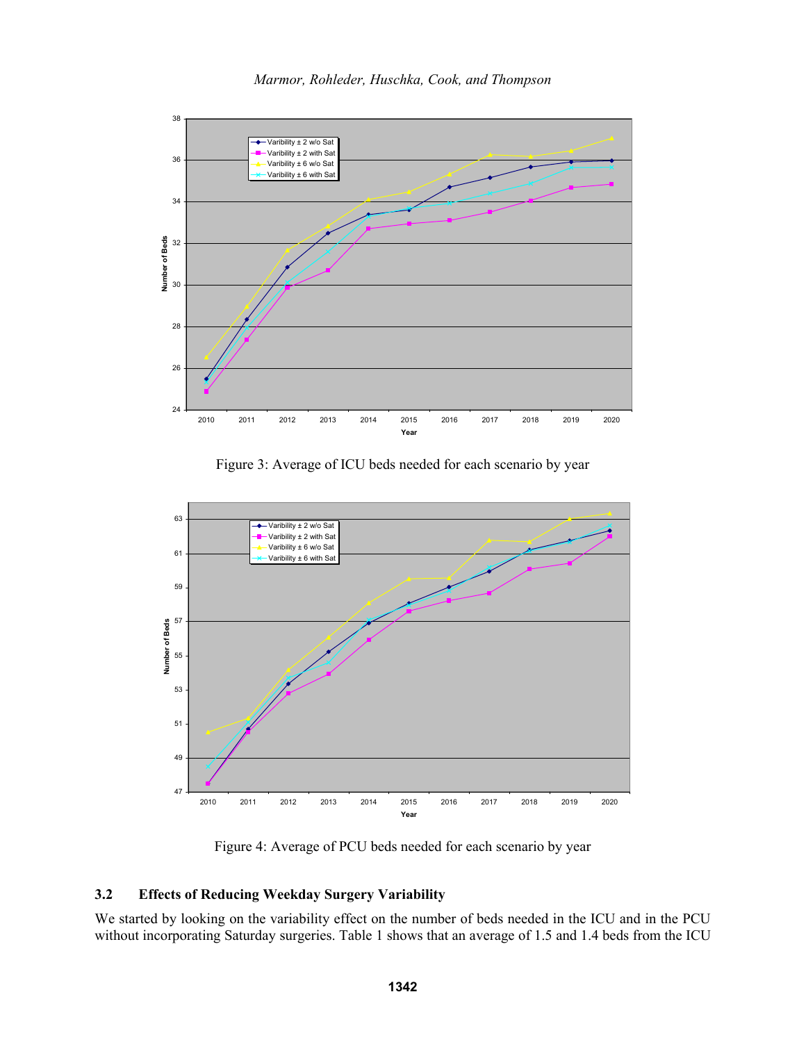

Figure 3: Average of ICU beds needed for each scenario by year



Figure 4: Average of PCU beds needed for each scenario by year

## **3.2 Effects of Reducing Weekday Surgery Variability**

We started by looking on the variability effect on the number of beds needed in the ICU and in the PCU without incorporating Saturday surgeries. Table 1 shows that an average of 1.5 and 1.4 beds from the ICU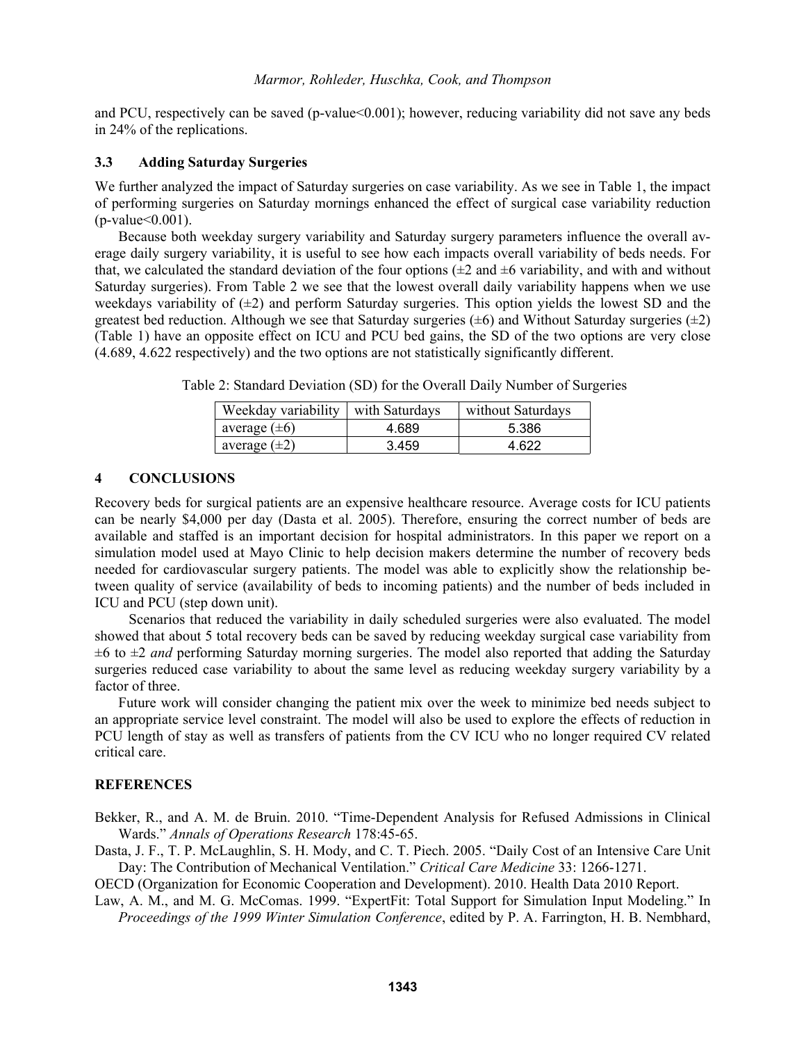and PCU, respectively can be saved (p-value<0.001); however, reducing variability did not save any beds in 24% of the replications.

### **3.3 Adding Saturday Surgeries**

We further analyzed the impact of Saturday surgeries on case variability. As we see in Table 1, the impact of performing surgeries on Saturday mornings enhanced the effect of surgical case variability reduction  $(p-value<0.001)$ .

Because both weekday surgery variability and Saturday surgery parameters influence the overall average daily surgery variability, it is useful to see how each impacts overall variability of beds needs. For that, we calculated the standard deviation of the four options  $(\pm 2$  and  $\pm 6$  variability, and with and without Saturday surgeries). From Table 2 we see that the lowest overall daily variability happens when we use weekdays variability of  $(\pm 2)$  and perform Saturday surgeries. This option yields the lowest SD and the greatest bed reduction. Although we see that Saturday surgeries  $(\pm 6)$  and Without Saturday surgeries  $(\pm 2)$ (Table 1) have an opposite effect on ICU and PCU bed gains, the SD of the two options are very close (4.689, 4.622 respectively) and the two options are not statistically significantly different.

| Weekday variability   with Saturdays |       | without Saturdays |
|--------------------------------------|-------|-------------------|
| average $(\pm 6)$                    | 4.689 | 5.386             |
| average $(\pm 2)$                    | 3459  | 4 622             |

Table 2: Standard Deviation (SD) for the Overall Daily Number of Surgeries

#### **4 CONCLUSIONS**

Recovery beds for surgical patients are an expensive healthcare resource. Average costs for ICU patients can be nearly \$4,000 per day (Dasta et al. 2005). Therefore, ensuring the correct number of beds are available and staffed is an important decision for hospital administrators. In this paper we report on a simulation model used at Mayo Clinic to help decision makers determine the number of recovery beds needed for cardiovascular surgery patients. The model was able to explicitly show the relationship between quality of service (availability of beds to incoming patients) and the number of beds included in ICU and PCU (step down unit).

Scenarios that reduced the variability in daily scheduled surgeries were also evaluated. The model showed that about 5 total recovery beds can be saved by reducing weekday surgical case variability from ±6 to ±2 *and* performing Saturday morning surgeries. The model also reported that adding the Saturday surgeries reduced case variability to about the same level as reducing weekday surgery variability by a factor of three.

Future work will consider changing the patient mix over the week to minimize bed needs subject to an appropriate service level constraint. The model will also be used to explore the effects of reduction in PCU length of stay as well as transfers of patients from the CV ICU who no longer required CV related critical care.

### **REFERENCES**

Bekker, R., and A. M. de Bruin. 2010. "Time-Dependent Analysis for Refused Admissions in Clinical Wards." *Annals of Operations Research* 178:45-65.

Dasta, J. F., T. P. McLaughlin, S. H. Mody, and C. T. Piech. 2005. "Daily Cost of an Intensive Care Unit Day: The Contribution of Mechanical Ventilation." *Critical Care Medicine* 33: 1266-1271.

OECD (Organization for Economic Cooperation and Development). 2010. Health Data 2010 Report.

Law, A. M., and M. G. McComas. 1999. "ExpertFit: Total Support for Simulation Input Modeling." In *Proceedings of the 1999 Winter Simulation Conference*, edited by P. A. Farrington, H. B. Nembhard,